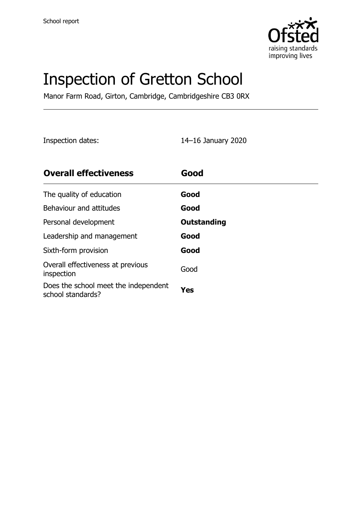

# Inspection of Gretton School

Manor Farm Road, Girton, Cambridge, Cambridgeshire CB3 0RX

Inspection dates: 14–16 January 2020

| <b>Overall effectiveness</b>                              | Good        |
|-----------------------------------------------------------|-------------|
| The quality of education                                  | Good        |
| Behaviour and attitudes                                   | Good        |
| Personal development                                      | Outstanding |
| Leadership and management                                 | Good        |
| Sixth-form provision                                      | Good        |
| Overall effectiveness at previous<br>inspection           | Good        |
| Does the school meet the independent<br>school standards? | Yes         |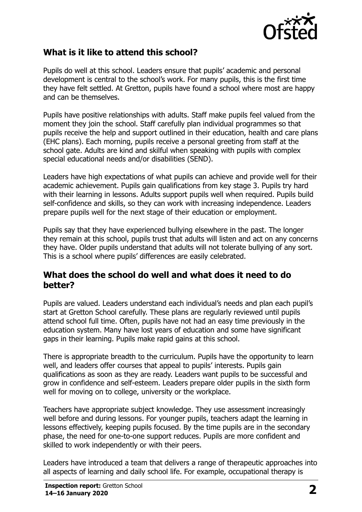

## **What is it like to attend this school?**

Pupils do well at this school. Leaders ensure that pupils' academic and personal development is central to the school's work. For many pupils, this is the first time they have felt settled. At Gretton, pupils have found a school where most are happy and can be themselves.

Pupils have positive relationships with adults. Staff make pupils feel valued from the moment they join the school. Staff carefully plan individual programmes so that pupils receive the help and support outlined in their education, health and care plans (EHC plans). Each morning, pupils receive a personal greeting from staff at the school gate. Adults are kind and skilful when speaking with pupils with complex special educational needs and/or disabilities (SEND).

Leaders have high expectations of what pupils can achieve and provide well for their academic achievement. Pupils gain qualifications from key stage 3. Pupils try hard with their learning in lessons. Adults support pupils well when required. Pupils build self-confidence and skills, so they can work with increasing independence. Leaders prepare pupils well for the next stage of their education or employment.

Pupils say that they have experienced bullying elsewhere in the past. The longer they remain at this school, pupils trust that adults will listen and act on any concerns they have. Older pupils understand that adults will not tolerate bullying of any sort. This is a school where pupils' differences are easily celebrated.

### **What does the school do well and what does it need to do better?**

Pupils are valued. Leaders understand each individual's needs and plan each pupil's start at Gretton School carefully. These plans are regularly reviewed until pupils attend school full time. Often, pupils have not had an easy time previously in the education system. Many have lost years of education and some have significant gaps in their learning. Pupils make rapid gains at this school.

There is appropriate breadth to the curriculum. Pupils have the opportunity to learn well, and leaders offer courses that appeal to pupils' interests. Pupils gain qualifications as soon as they are ready. Leaders want pupils to be successful and grow in confidence and self-esteem. Leaders prepare older pupils in the sixth form well for moving on to college, university or the workplace.

Teachers have appropriate subject knowledge. They use assessment increasingly well before and during lessons. For younger pupils, teachers adapt the learning in lessons effectively, keeping pupils focused. By the time pupils are in the secondary phase, the need for one-to-one support reduces. Pupils are more confident and skilled to work independently or with their peers.

Leaders have introduced a team that delivers a range of therapeutic approaches into all aspects of learning and daily school life. For example, occupational therapy is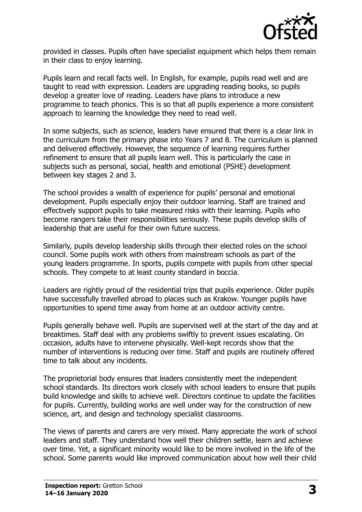

provided in classes. Pupils often have specialist equipment which helps them remain in their class to enjoy learning.

Pupils learn and recall facts well. In English, for example, pupils read well and are taught to read with expression. Leaders are upgrading reading books, so pupils develop a greater love of reading. Leaders have plans to introduce a new programme to teach phonics. This is so that all pupils experience a more consistent approach to learning the knowledge they need to read well.

In some subjects, such as science, leaders have ensured that there is a clear link in the curriculum from the primary phase into Years 7 and 8. The curriculum is planned and delivered effectively. However, the sequence of learning requires further refinement to ensure that all pupils learn well. This is particularly the case in subjects such as personal, social, health and emotional (PSHE) development between key stages 2 and 3.

The school provides a wealth of experience for pupils' personal and emotional development. Pupils especially enjoy their outdoor learning. Staff are trained and effectively support pupils to take measured risks with their learning. Pupils who become rangers take their responsibilities seriously. These pupils develop skills of leadership that are useful for their own future success.

Similarly, pupils develop leadership skills through their elected roles on the school council. Some pupils work with others from mainstream schools as part of the young leaders programme. In sports, pupils compete with pupils from other special schools. They compete to at least county standard in boccia.

Leaders are rightly proud of the residential trips that pupils experience. Older pupils have successfully travelled abroad to places such as Krakow. Younger pupils have opportunities to spend time away from home at an outdoor activity centre.

Pupils generally behave well. Pupils are supervised well at the start of the day and at breaktimes. Staff deal with any problems swiftly to prevent issues escalating. On occasion, adults have to intervene physically. Well-kept records show that the number of interventions is reducing over time. Staff and pupils are routinely offered time to talk about any incidents.

The proprietorial body ensures that leaders consistently meet the independent school standards. Its directors work closely with school leaders to ensure that pupils build knowledge and skills to achieve well. Directors continue to update the facilities for pupils. Currently, building works are well under way for the construction of new science, art, and design and technology specialist classrooms.

The views of parents and carers are very mixed. Many appreciate the work of school leaders and staff. They understand how well their children settle, learn and achieve over time. Yet, a significant minority would like to be more involved in the life of the school. Some parents would like improved communication about how well their child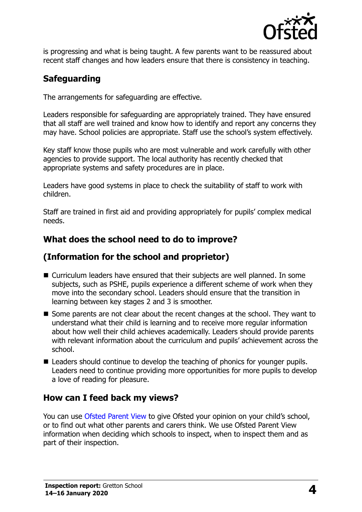

is progressing and what is being taught. A few parents want to be reassured about recent staff changes and how leaders ensure that there is consistency in teaching.

## **Safeguarding**

The arrangements for safeguarding are effective.

Leaders responsible for safeguarding are appropriately trained. They have ensured that all staff are well trained and know how to identify and report any concerns they may have. School policies are appropriate. Staff use the school's system effectively.

Key staff know those pupils who are most vulnerable and work carefully with other agencies to provide support. The local authority has recently checked that appropriate systems and safety procedures are in place.

Leaders have good systems in place to check the suitability of staff to work with children.

Staff are trained in first aid and providing appropriately for pupils' complex medical needs.

## **What does the school need to do to improve?**

## **(Information for the school and proprietor)**

- Curriculum leaders have ensured that their subjects are well planned. In some subjects, such as PSHE, pupils experience a different scheme of work when they move into the secondary school. Leaders should ensure that the transition in learning between key stages 2 and 3 is smoother.
- Some parents are not clear about the recent changes at the school. They want to understand what their child is learning and to receive more regular information about how well their child achieves academically. Leaders should provide parents with relevant information about the curriculum and pupils' achievement across the school.
- Leaders should continue to develop the teaching of phonics for younger pupils. Leaders need to continue providing more opportunities for more pupils to develop a love of reading for pleasure.

#### **How can I feed back my views?**

You can use [Ofsted Parent View](http://parentview.ofsted.gov.uk/) to give Ofsted your opinion on your child's school, or to find out what other parents and carers think. We use Ofsted Parent View information when deciding which schools to inspect, when to inspect them and as part of their inspection.

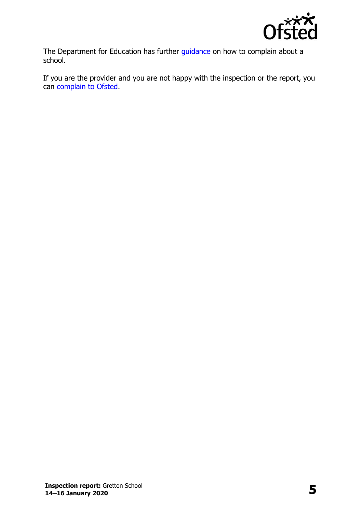

The Department for Education has further [guidance](http://www.gov.uk/complain-about-school) on how to complain about a school.

If you are the provider and you are not happy with the inspection or the report, you can [complain to Ofsted.](http://www.gov.uk/complain-ofsted-report)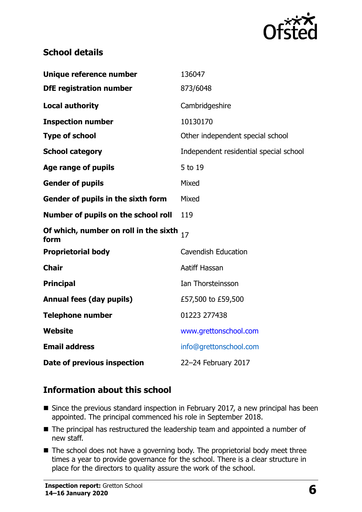

## **School details**

| Unique reference number                       | 136047                                 |
|-----------------------------------------------|----------------------------------------|
| <b>DfE registration number</b>                | 873/6048                               |
| <b>Local authority</b>                        | Cambridgeshire                         |
| <b>Inspection number</b>                      | 10130170                               |
| <b>Type of school</b>                         | Other independent special school       |
| <b>School category</b>                        | Independent residential special school |
| Age range of pupils                           | 5 to 19                                |
| <b>Gender of pupils</b>                       | Mixed                                  |
| Gender of pupils in the sixth form            | Mixed                                  |
| Number of pupils on the school roll           | 119                                    |
| Of which, number on roll in the sixth<br>form | 17                                     |
| <b>Proprietorial body</b>                     | <b>Cavendish Education</b>             |
| <b>Chair</b>                                  | <b>Aatiff Hassan</b>                   |
| <b>Principal</b>                              | Ian Thorsteinsson                      |
| <b>Annual fees (day pupils)</b>               | £57,500 to £59,500                     |
| <b>Telephone number</b>                       | 01223 277438                           |
| Website                                       | www.grettonschool.com                  |
| <b>Email address</b>                          | info@grettonschool.com                 |
| Date of previous inspection                   | 22-24 February 2017                    |
|                                               |                                        |

## **Information about this school**

- Since the previous standard inspection in February 2017, a new principal has been appointed. The principal commenced his role in September 2018.
- The principal has restructured the leadership team and appointed a number of new staff.
- The school does not have a governing body. The proprietorial body meet three times a year to provide governance for the school. There is a clear structure in place for the directors to quality assure the work of the school.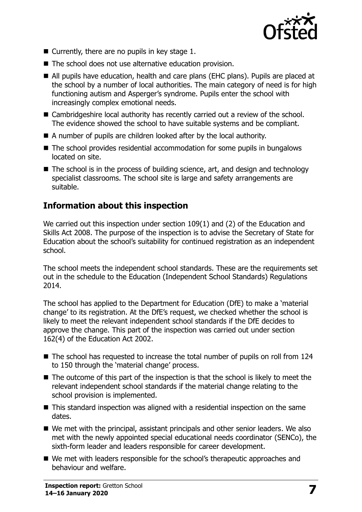

- $\blacksquare$  Currently, there are no pupils in key stage 1.
- The school does not use alternative education provision.
- All pupils have education, health and care plans (EHC plans). Pupils are placed at the school by a number of local authorities. The main category of need is for high functioning autism and Asperger's syndrome. Pupils enter the school with increasingly complex emotional needs.
- Cambridgeshire local authority has recently carried out a review of the school. The evidence showed the school to have suitable systems and be compliant.
- A number of pupils are children looked after by the local authority.
- The school provides residential accommodation for some pupils in bungalows located on site.
- The school is in the process of building science, art, and design and technology specialist classrooms. The school site is large and safety arrangements are suitable.

### **Information about this inspection**

We carried out this inspection under section 109(1) and (2) of the Education and Skills Act 2008. The purpose of the inspection is to advise the Secretary of State for Education about the school's suitability for continued registration as an independent school.

The school meets the independent school standards. These are the requirements set out in the schedule to the Education (Independent School Standards) Regulations 2014.

The school has applied to the Department for Education (DfE) to make a 'material change' to its registration. At the DfE's request, we checked whether the school is likely to meet the relevant independent school standards if the DfE decides to approve the change. This part of the inspection was carried out under section 162(4) of the Education Act 2002.

- The school has requested to increase the total number of pupils on roll from 124 to 150 through the 'material change' process.
- The outcome of this part of the inspection is that the school is likely to meet the relevant independent school standards if the material change relating to the school provision is implemented.
- This standard inspection was aligned with a residential inspection on the same dates.
- We met with the principal, assistant principals and other senior leaders. We also met with the newly appointed special educational needs coordinator (SENCo), the sixth-form leader and leaders responsible for career development.
- We met with leaders responsible for the school's therapeutic approaches and behaviour and welfare.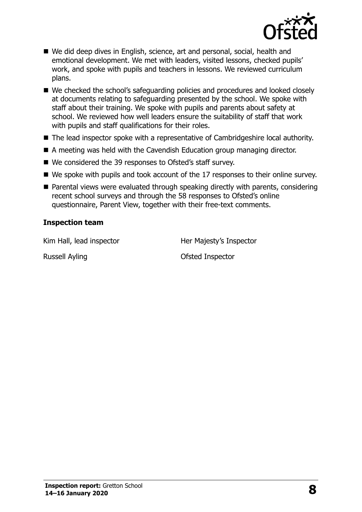

- We did deep dives in English, science, art and personal, social, health and emotional development. We met with leaders, visited lessons, checked pupils' work, and spoke with pupils and teachers in lessons. We reviewed curriculum plans.
- We checked the school's safeguarding policies and procedures and looked closely at documents relating to safeguarding presented by the school. We spoke with staff about their training. We spoke with pupils and parents about safety at school. We reviewed how well leaders ensure the suitability of staff that work with pupils and staff qualifications for their roles.
- The lead inspector spoke with a representative of Cambridgeshire local authority.
- A meeting was held with the Cavendish Education group managing director.
- We considered the 39 responses to Ofsted's staff survey.
- We spoke with pupils and took account of the 17 responses to their online survey.
- Parental views were evaluated through speaking directly with parents, considering recent school surveys and through the 58 responses to Ofsted's online questionnaire, Parent View, together with their free-text comments.

#### **Inspection team**

Kim Hall, lead inspector **Her Majesty's Inspector** 

Russell Ayling **Contract Contract Contract Contract Contract Contract Contract Contract Contract Contract Contract Contract Contract Contract Contract Contract Contract Contract Contract Contract Contract Contract Contract**